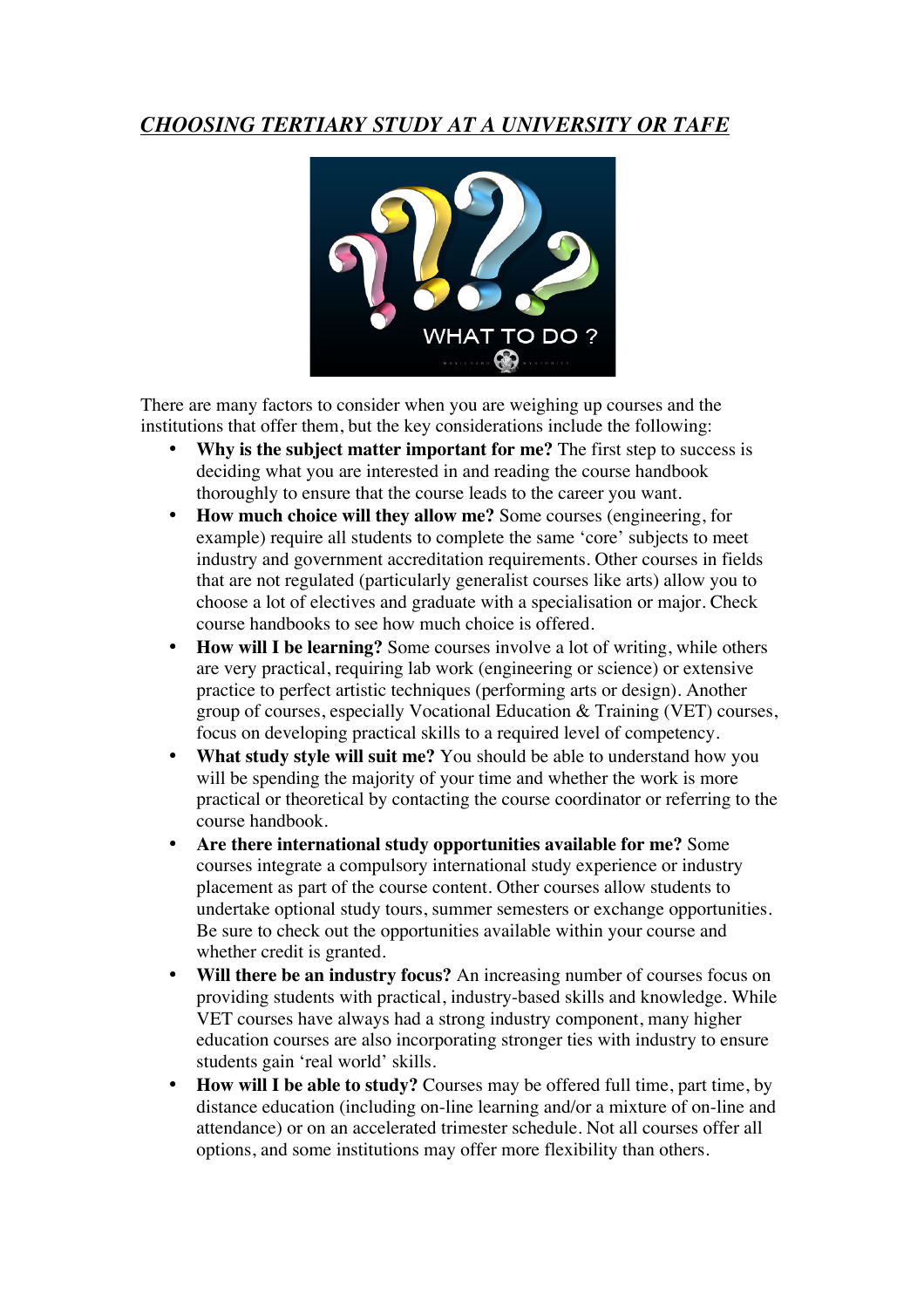## *CHOOSING TERTIARY STUDY AT A UNIVERSITY OR TAFE*



There are many factors to consider when you are weighing up courses and the institutions that offer them, but the key considerations include the following:

- **Why is the subject matter important for me?** The first step to success is deciding what you are interested in and reading the course handbook thoroughly to ensure that the course leads to the career you want.
- **How much choice will they allow me?** Some courses (engineering, for example) require all students to complete the same 'core' subjects to meet industry and government accreditation requirements. Other courses in fields that are not regulated (particularly generalist courses like arts) allow you to choose a lot of electives and graduate with a specialisation or major. Check course handbooks to see how much choice is offered.
- **How will I be learning?** Some courses involve a lot of writing, while others are very practical, requiring lab work (engineering or science) or extensive practice to perfect artistic techniques (performing arts or design). Another group of courses, especially Vocational Education & Training (VET) courses, focus on developing practical skills to a required level of competency.
- **What study style will suit me?** You should be able to understand how you will be spending the majority of your time and whether the work is more practical or theoretical by contacting the course coordinator or referring to the course handbook.
- **Are there international study opportunities available for me?** Some courses integrate a compulsory international study experience or industry placement as part of the course content. Other courses allow students to undertake optional study tours, summer semesters or exchange opportunities. Be sure to check out the opportunities available within your course and whether credit is granted.
- **Will there be an industry focus?** An increasing number of courses focus on providing students with practical, industry-based skills and knowledge. While VET courses have always had a strong industry component, many higher education courses are also incorporating stronger ties with industry to ensure students gain 'real world' skills.
- **How will I be able to study?** Courses may be offered full time, part time, by distance education (including on-line learning and/or a mixture of on-line and attendance) or on an accelerated trimester schedule. Not all courses offer all options, and some institutions may offer more flexibility than others.